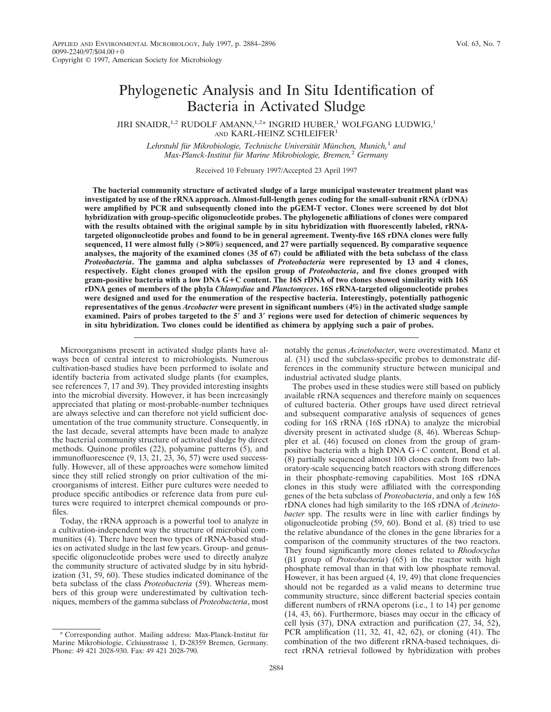# Phylogenetic Analysis and In Situ Identification of Bacteria in Activated Sludge

JIRI SNAIDR,  $1,2$  RUDOLF AMANN,  $1,2*$  INGRID HUBER,  $1$  WOLFGANG LUDWIG,  $1$ AND KARL-HEINZ SCHLEIFER<sup>1</sup>

Lehrstuhl für Mikrobiologie, Technische Universität München, Munich,<sup>1</sup> and *Max-Planck-Institut fu¨r Marine Mikrobiologie, Bremen,*<sup>2</sup> *Germany*

Received 10 February 1997/Accepted 23 April 1997

**The bacterial community structure of activated sludge of a large municipal wastewater treatment plant was investigated by use of the rRNA approach. Almost-full-length genes coding for the small-subunit rRNA (rDNA) were amplified by PCR and subsequently cloned into the pGEM-T vector. Clones were screened by dot blot hybridization with group-specific oligonucleotide probes. The phylogenetic affiliations of clones were compared with the results obtained with the original sample by in situ hybridization with fluorescently labeled, rRNAtargeted oligonucleotide probes and found to be in general agreement. Twenty-five 16S rDNA clones were fully sequenced, 11 were almost fully (>80%) sequenced, and 27 were partially sequenced. By comparative sequence analyses, the majority of the examined clones (35 of 67) could be affiliated with the beta subclass of the class** *Proteobacteria***. The gamma and alpha subclasses of** *Proteobacteria* **were represented by 13 and 4 clones, respectively. Eight clones grouped with the epsilon group of** *Proteobacteria***, and five clones grouped with gram-positive bacteria with a low DNA G**1**C content. The 16S rDNA of two clones showed similarity with 16S rDNA genes of members of the phyla** *Chlamydiae* **and** *Planctomyces***. 16S rRNA-targeted oligonucleotide probes were designed and used for the enumeration of the respective bacteria. Interestingly, potentially pathogenic representatives of the genus** *Arcobacter* **were present in significant numbers (4%) in the activated sludge sample examined. Pairs of probes targeted to the 5**\* **and 3**\* **regions were used for detection of chimeric sequences by in situ hybridization. Two clones could be identified as chimera by applying such a pair of probes.**

Microorganisms present in activated sludge plants have always been of central interest to microbiologists. Numerous cultivation-based studies have been performed to isolate and identify bacteria from activated sludge plants (for examples, see references 7, 17 and 39). They provided interesting insights into the microbial diversity. However, it has been increasingly appreciated that plating or most-probable-number techniques are always selective and can therefore not yield sufficient documentation of the true community structure. Consequently, in the last decade, several attempts have been made to analyze the bacterial community structure of activated sludge by direct methods. Quinone profiles (22), polyamine patterns (5), and immunofluorescence (9, 13, 21, 23, 36, 57) were used successfully. However, all of these approaches were somehow limited since they still relied strongly on prior cultivation of the microorganisms of interest. Either pure cultures were needed to produce specific antibodies or reference data from pure cultures were required to interpret chemical compounds or profiles.

Today, the rRNA approach is a powerful tool to analyze in a cultivation-independent way the structure of microbial communities (4). There have been two types of rRNA-based studies on activated sludge in the last few years. Group- and genusspecific oligonucleotide probes were used to directly analyze the community structure of activated sludge by in situ hybridization (31, 59, 60). These studies indicated dominance of the beta subclass of the class *Proteobacteria* (59). Whereas members of this group were underestimated by cultivation techniques, members of the gamma subclass of *Proteobacteria*, most

notably the genus *Acinetobacter*, were overestimated. Manz et al. (31) used the subclass-specific probes to demonstrate differences in the community structure between municipal and industrial activated sludge plants.

The probes used in these studies were still based on publicly available rRNA sequences and therefore mainly on sequences of cultured bacteria. Other groups have used direct retrieval and subsequent comparative analysis of sequences of genes coding for 16S rRNA (16S rDNA) to analyze the microbial diversity present in activated sludge (8, 46). Whereas Schuppler et al. (46) focused on clones from the group of grampositive bacteria with a high DNA  $G+C$  content, Bond et al. (8) partially sequenced almost 100 clones each from two laboratory-scale sequencing batch reactors with strong differences in their phosphate-removing capabilities. Most 16S rDNA clones in this study were affiliated with the corresponding genes of the beta subclass of *Proteobacteria*, and only a few 16S rDNA clones had high similarity to the 16S rDNA of *Acinetobacter* spp. The results were in line with earlier findings by oligonucleotide probing (59, 60). Bond et al. (8) tried to use the relative abundance of the clones in the gene libraries for a comparison of the community structures of the two reactors. They found significantly more clones related to *Rhodocyclus* (b1 group of *Proteobacteria*) (65) in the reactor with high phosphate removal than in that with low phosphate removal. However, it has been argued (4, 19, 49) that clone frequencies should not be regarded as a valid means to determine true community structure, since different bacterial species contain different numbers of rRNA operons (i.e., 1 to 14) per genome (14, 43, 66). Furthermore, biases may occur in the efficacy of cell lysis (37), DNA extraction and purification (27, 34, 52), PCR amplification (11, 32, 41, 42, 62), or cloning (41). The combination of the two different rRNA-based techniques, direct rRNA retrieval followed by hybridization with probes

<sup>\*</sup> Corresponding author. Mailing address: Max-Planck-Institut fu¨r Marine Mikrobiologie, Celsiusstrasse 1, D-28359 Bremen, Germany. Phone: 49 421 2028-930. Fax: 49 421 2028-790.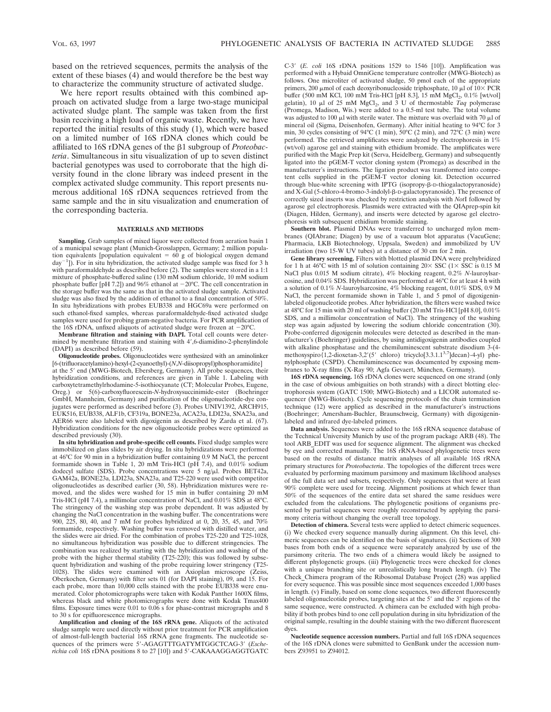based on the retrieved sequences, permits the analysis of the extent of these biases (4) and would therefore be the best way to characterize the community structure of activated sludge.

We here report results obtained with this combined approach on activated sludge from a large two-stage municipal activated sludge plant. The sample was taken from the first basin receiving a high load of organic waste. Recently, we have reported the initial results of this study (1), which were based on a limited number of 16S rDNA clones which could be affiliated to 16S rDNA genes of the b1 subgroup of *Proteobacteria*. Simultaneous in situ visualization of up to seven distinct bacterial genotypes was used to corroborate that the high diversity found in the clone library was indeed present in the complex activated sludge community. This report presents numerous additional 16S rDNA sequences retrieved from the same sample and the in situ visualization and enumeration of the corresponding bacteria.

#### **MATERIALS AND METHODS**

**Sampling.** Grab samples of mixed liquor were collected from aeration basin 1 of a municipal sewage plant (Munich-Grosslappen, Germany; 2 million population equivalents [population equivalent =  $60 \text{ g}$  of biological oxygen demand  $\frac{day^{-1}}{x}$ . For in situ hybridization, the activated sludge sample was fixed for 3 h with paraformaldehyde as described before (2). The samples were stored in a 1:1 mixture of phosphate-buffered saline (130 mM sodium chloride, 10 mM sodium phosphate buffer [pH 7.2]) and 96% ethanol at  $-20^{\circ}$ C. The cell concentration in the storage buffer was the same as that in the activated sludge sample. Activated sludge was also fixed by the addition of ethanol to a final concentration of 50%. In situ hybridizations with probes EUB338 and HGC69a were performed on such ethanol-fixed samples, whereas paraformaldehyde-fixed activated sludge samples were used for probing gram-negative bacteria. For PCR amplification of the 16S rDNA, unfixed aliquots of activated sludge were frozen at  $-20^{\circ}$ C.

**Membrane filtration and staining with DAPI.** Total cell counts were determined by membrane filtration and staining with 4',6-diamidino-2-phenylindole (DAPI) as described before (59).

**Oligonucleotide probes.** Oligonucleotides were synthesized with an aminolinker [6-(trifluoracetylamino)-hexyl-(2-cyanoethyl)-(*N*,*N*-diisopropyl)phosphoramidite] at the 5' end (MWG-Biotech, Ebersberg, Germany). All probe sequences, their hybridization conditions, and references are given in Table 1. Labeling with carboxytetramethylrhodamine-5-isothiocyanate (CT; Molecular Probes, Eugene, Oreg.) or 5(6)-carboxyfluorescein-*N*-hydroxysuccinimide-ester (Boehringer GmbH, Mannheim, Germany) and purification of the oligonucleotide-dye conjugates were performed as described before (3). Probes UNIV1392, ARCH915, EUK516, EUB338, ALF1b, CF319a, BONE23a, ACA23a, LDI23a, SNA23a, and AER66 were also labeled with digoxigenin as described by Zarda et al. (67). Hybridization conditions for the new oligonucleotide probes were optimized as described previously (30).

**In situ hybridization and probe-specific cell counts.** Fixed sludge samples were immobilized on glass slides by air drying. In situ hybridizations were performed at 46°C for 90 min in a hybridization buffer containing 0.9 M NaCl, the percent formamide shown in Table 1, 20 mM Tris-HCl (pH 7.4), and 0.01% sodium dodecyl sulfate (SDS). Probe concentrations were  $5$  ng/ $\mu$ l. Probes BET42a, GAM42a, BONE23a, LDI23a, SNA23a, and T25-220 were used with competitor oligonucleotides as described earlier (30, 58). Hybridization mixtures were removed, and the slides were washed for 15 min in buffer containing 20 mM Tris-HCl (pH 7.4), a millimolar concentration of NaCl, and 0.01% SDS at 48°C. The stringency of the washing step was probe dependent. It was adjusted by changing the NaCl concentration in the washing buffer. The concentrations were 900, 225, 80, 40, and 7 mM for probes hybridized at 0, 20, 35, 45, and 70% formamide, respectively. Washing buffer was removed with distilled water, and the slides were air dried. For the combination of probes T25-220 and T25-1028, no simultaneous hybridization was possible due to different stringencies. The combination was realized by starting with the hybridization and washing of the probe with the higher thermal stability (T25-220); this was followed by subsequent hybridization and washing of the probe requiring lower stringency (T25- 1028). The slides were examined with an Axioplan microscope (Zeiss, Oberkochen, Germany) with filter sets 01 (for DAPI staining), 09, and 15. For each probe, more than 10,000 cells stained with the probe EUB338 were enumerated. Color photomicrographs were taken with Kodak Panther 1600X films, whereas black and white photomicrographs were done with Kodak Tmax400 films. Exposure times were 0.01 to 0.06 s for phase-contrast micrographs and 8 to 30 s for epifluorescence micrographs.

**Amplification and cloning of the 16S rRNA gene.** Aliquots of the activated sludge sample were used directly without prior treatment for PCR amplification of almost-full-length bacterial 16S rRNA gene fragments. The nucleotide se-<br>quences of the primers were 5'-AGAGTTTGATYMTGGCTCAG-3' (*Escherichia coli* 16S rDNA positions 8 to 27 [10]) and 5'-CAKAAAGGAGGTGATC C-3<sup>'</sup> (*E. coli* 16S rDNA positions 1529 to 1546 [10]). Amplification was performed with a Hybaid OmniGene temperature controller (MWG-Biotech) as follows. One microliter of activated sludge, 50 pmol each of the appropriate primers, 200  $\mu$ mol of each deoxyribonucleoside triphosphate, 10  $\mu$ l of 10 $\times$  PCR buffer (500 mM KCl, 100 mM Tris-HCl [pH 8.3], 15 mM MgCl<sub>2</sub>, 0.1% [wt/vol] gelatin), 10  $\mu$ l of 25 mM MgCl<sub>2</sub>, and 3 U of thermostable *Taq* polymerase (Promega, Madison, Wis.) were added to a 0.5-ml test tube. The total volume was adjusted to 100  $\mu$ l with sterile water. The mixture was overlaid with 70  $\mu$ l of mineral oil (Sigma, Deisenhofen, Germany). After initial heating to 94°C for 3 min, 30 cycles consisting of 94°C (1 min),  $50^{\circ}$ C (2 min), and 72°C (3 min) were performed. The retrieved amplificates were analyzed by electrophoresis in 1% (wt/vol) agarose gel and staining with ethidium bromide. The amplificates were purified with the Magic Prep kit (Serva, Heidelberg, Germany) and subsequently ligated into the pGEM-T vector cloning system (Promega) as described in the manufacturer's instructions. The ligation product was transformed into competent cells supplied in the pGEM-T vector cloning kit. Detection occurred through blue-white screening with IPTG (isopropy- $\beta$ -D-thiogalactopyranoside) and X-Gal (5-chloro-4-bromo-3-indolyl-b-D-galactopyranoside). The presence of correctly sized inserts was checked by restriction analysis with *Not*I followed by agarose gel electrophoresis. Plasmids were extracted with the QIAprep-spin kit (Diagen, Hilden, Germany), and inserts were detected by agarose gel electrophoresis with subsequent ethidium bromide staining.

**Southern blot.** Plasmid DNAs were transferred to uncharged nylon membranes (QIAbrane; Diagen) by use of a vacuum blot apparatus (VacuGene; Pharmacia, LKB Biotechnology, Uppsala, Sweden) and immobilized by UV irradiation (two 15-W UV tubes) at a distance of 30 cm for 2 min.

**Gene library screening.** Filters with blotted plasmid DNA were prehybridized for 1 h at 46°C with 15 ml of solution containing  $20 \times$  SSC (1 $\times$  SSC is 0.15 M NaCl plus 0.015 M sodium citrate), 4% blocking reagent, 0.2% *N*-lauroylsarcosine, and 0.04% SDS. Hybridization was performed at 46°C for at least 4 h with a solution of 0.1% *N*-lauroylsarcosine, 4% blocking reagent, 0.01% SDS, 0.9 M NaCl, the percent formamide shown in Table 1, and 5 pmol of digoxigeninlabeled oligonucleotide probes. After hybridization, the filters were washed twice at 48°C for 15 min with 20 ml of washing buffer (20 mM Tris-HCl [pH 8.0], 0.01% SDS, and a millimolar concentration of NaCl). The stringency of the washing step was again adjusted by lowering the sodium chloride concentration (30). Probe-conferred digoxigenin molecules were detected as described in the manufacturer's (Boehringer) guidelines, by using antidigoxigenin antibodies coupled with alkaline phosphatase and the chemiluminescent substrate disodium 3-(4 methoxyspiro $\{1,2\}$ -dioxetan-3,2 $\{5\}$  chloro) tricyclo $\{3.3.1.1^{3,7}\}$ decan $\}$ -4-yl) phenylphosphate (CSPD). Chemiluminescence was documented by exposing membranes to X-ray films (X-Ray 90; Agfa Gevaert, München, Germany).

**16S rDNA sequencing.** 16S rDNA clones were sequenced on one strand (only in the case of obvious ambiguities on both strands) with a direct blotting electrophoresis system (GATC 1500; MWG-Biotech) and a LICOR automated sequencer (MWG-Biotech). Cycle sequencing protocols of the chain termination technique (12) were applied as described in the manufacturer's instructions (Boehringer; Amersham-Buchler, Braunschweig, Germany) with digoxigeninlabeled and infrared dye-labeled primers.

**Data analysis.** Sequences were added to the 16S rRNA sequence database of the Technical University Munich by use of the program package ARB (48). The tool ARB\_EDIT was used for sequence alignment. The alignment was checked by eye and corrected manually. The 16S rRNA-based phylogenetic trees were based on the results of distance matrix analyses of all available 16S rRNA primary structures for *Proteobacteria*. The topologies of the different trees were evaluated by performing maximum parsimony and maximum likelihood analyses of the full data set and subsets, respectively. Only sequences that were at least 90% complete were used for treeing. Alignment positions at which fewer than 50% of the sequences of the entire data set shared the same residues were excluded from the calculations. The phylogenetic positions of organisms presented by partial sequences were roughly reconstructed by applying the parsimony criteria without changing the overall tree topology.

**Detection of chimera.** Several tests were applied to detect chimeric sequences. (i) We checked every sequence manually during alignment. On this level, chimeric sequences can be identified on the basis of signatures. (ii) Sections of 300 bases from both ends of a sequence were separately analyzed by use of the parsimony criteria. The two ends of a chimera would likely be assigned to different phylogenetic groups. (iii) Phylogenetic trees were checked for clones with a unique branching site or unrealistically long branch length. (iv) The Check Chimera program of the Ribosomal Database Project (28) was applied for every sequence. This was possible since most sequences exceeded 1,000 bases in length. (v) Finally, based on some clone sequences, two different fluorescently labeled oligonucleotide probes, targeting sites at the  $5'$  and the  $3'$  regions of the same sequence, were constructed. A chimera can be excluded with high probability if both probes bind to one cell population during in situ hybridization of the original sample, resulting in the double staining with the two different fluorescent dyes.

**Nucleotide sequence accession numbers.** Partial and full 16S rDNA sequences of the 16S rDNA clones were submitted to GenBank under the accession numbers Z93951 to Z94012.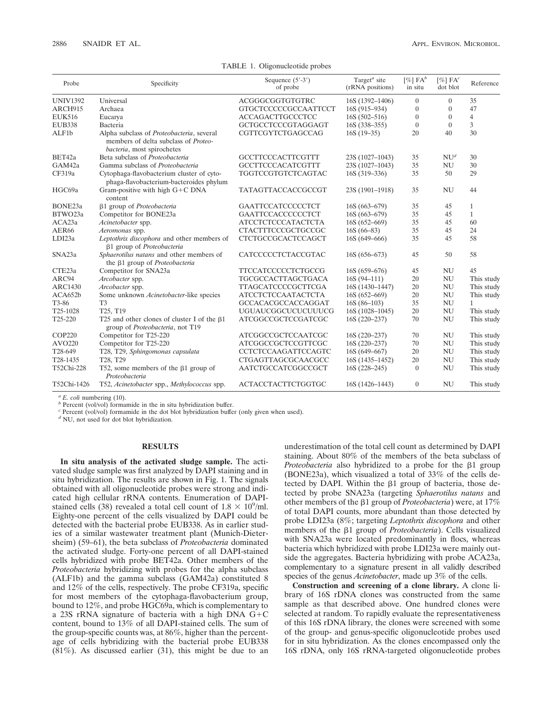| Probe           | Specificity                                                                                                            | Sequence $(5' - 3')$<br>of probe | Target <sup><math>a</math></sup> site<br>(rRNA positions) | $[\%]$ FA <sup>b</sup><br>in situ | $[\%]$ FA <sup>c</sup><br>dot blot | Reference    |
|-----------------|------------------------------------------------------------------------------------------------------------------------|----------------------------------|-----------------------------------------------------------|-----------------------------------|------------------------------------|--------------|
| <b>UNIV1392</b> | Universal                                                                                                              | ACGGGCGGTGTGTRC                  | 16S (1392-1406)                                           | $\theta$                          | $\Omega$                           | 35           |
| ARCH915         | Archaea                                                                                                                | <b>GTGCTCCCCCGCCAATTCCT</b>      | 16S (915-934)                                             | $\overline{0}$                    | $\overline{0}$                     | 47           |
| <b>EUK516</b>   | Eucarya                                                                                                                | <b>ACCAGACTTGCCCTCC</b>          | $16S(502 - 516)$                                          | $\Omega$                          | $\theta$                           | 4            |
| <b>EUB338</b>   | Bacteria                                                                                                               | GCTGCCTCCCGTAGGAGT               | 16S (338-355)                                             | $\theta$                          | $\overline{0}$                     | 3            |
| ALF1b           | Alpha subclass of Proteobacteria, several<br>members of delta subclass of <i>Proteo-</i><br>bacteria, most spirochetes | CGTTCGYTCTGAGCCAG                | $16S(19-35)$                                              | 20                                | 40                                 | 30           |
| BET42a          | Beta subclass of Proteobacteria                                                                                        | <b>GCCTTCCCACTTCGTTT</b>         | 23S (1027-1043)                                           | 35                                | NU <sup>d</sup>                    | 30           |
| GAM42a          | Gamma subclass of Proteobacteria                                                                                       | <b>GCCTTCCCACATCGTTT</b>         | 23S (1027-1043)                                           | 35                                | <b>NU</b>                          | 30           |
| CF319a          | Cytophaga-flavobacterium cluster of cyto-<br>phaga-flavobacterium-bacteroides phylum                                   | TGGTCCGTGTCTCAGTAC               | 16S (319-336)                                             | 35                                | 50                                 | 29           |
| HGC69a          | Gram-positive with high G+C DNA<br>content                                                                             | TATAGTTACCACCGCCGT               | 23S (1901-1918)                                           | 35                                | <b>NU</b>                          | 44           |
| BONE23a         | β1 group of Proteobacteria                                                                                             | GAATTCCATCCCCCTCT                | $16S(663-679)$                                            | 35                                | 45                                 | 1            |
| BTWO23a         | Competitor for BONE23a                                                                                                 | GAATTCCACCCCCCTCT                | $16S(663-679)$                                            | 35                                | 45                                 | $\mathbf{1}$ |
| ACA23a          | Acinetobacter spp.                                                                                                     | <b>ATCCTCTCCCATACTCTA</b>        | $16S(652-669)$                                            | 35                                | 45                                 | 60           |
| AER66           | Aeromonas spp.                                                                                                         | <b>CTACTTTCCCGCTGCCGC</b>        | $16S(66-83)$                                              | 35                                | 45                                 | 24           |
| LDI23a          | Leptothrix discophora and other members of<br>β1 group of Proteobacteria                                               | CTCTGCCGCACTCCAGCT               | 16S (649-666)                                             | 35                                | 45                                 | 58           |
| SNA23a          | Sphaerotilus natans and other members of<br>the β1 group of Proteobacteria                                             | CATCCCCCTCTACCGTAC               | $16S(656-673)$                                            | 45                                | 50                                 | 58           |
| CTE23a          | Competitor for SNA23a                                                                                                  | <b>TTCCATCCCCCTCTGCCG</b>        | $16S(659-676)$                                            | 45                                | NU                                 | 45           |
| ARC94           | Arcobacter spp.                                                                                                        | TGCGCCACTTAGCTGACA               | $16S(94-111)$                                             | 20                                | <b>NU</b>                          | This study   |
| <b>ARC1430</b>  | Arcobacter spp.                                                                                                        | <b>TTAGCATCCCCGCTTCGA</b>        | 16S (1430–1447)                                           | 20                                | $\mathrm{NU}$                      | This study   |
| ACA652b         | Some unknown Acinetobacter-like species                                                                                | <b>ATCCTCTCCAATACTCTA</b>        | $16S(652-669)$                                            | 20                                | <b>NU</b>                          | This study   |
| T3-86           | T <sub>3</sub>                                                                                                         | GCCACACGCCACCAGGAT               | $16S(86-103)$                                             | 35                                | NU                                 | $\mathbf{1}$ |
| T25-1028        | T25, T19                                                                                                               | <b>UGUAUCGGCUCUCUUUCG</b>        | $16S(1028-1045)$                                          | 20                                | <b>NU</b>                          | This study   |
| T25-220         | T25 and other clones of cluster I of the $\beta$ 1<br>group of Proteobacteria, not T19                                 | ATCGGCCGCTCCGATCGC               | $16S(220-237)$                                            | 70                                | <b>NU</b>                          | This study   |
| <b>COP220</b>   | Competitor for T25-220                                                                                                 | ATCGGCCGCTCCAATCGC               | $16S(220-237)$                                            | 70                                | <b>NU</b>                          | This study   |
| AVO220          | Competitor for T25-220                                                                                                 | ATCGGCCGCTCCGTTCGC               | $16S(220-237)$                                            | 70                                | NU                                 | This study   |
| T28-649         | T28, T29, Sphingomonas capsulata                                                                                       | CCTCTCCAAGATTCCAGTC              | $16S(649-667)$                                            | 20                                | <b>NU</b>                          | This study   |
| T28-1435        | T28, T29                                                                                                               | CTGAGTTAGCGCAACGCC               | 16S (1435-1452)                                           | 20                                | <b>NU</b>                          | This study   |
| T52Chi-228      | T52, some members of the $\beta$ 1 group of<br>Proteobacteria                                                          | AATCTGCCATCGGCCGCT               | $16S(228-245)$                                            | $\Omega$                          | <b>NU</b>                          | This study   |
| T52Chi-1426     | T52, Acinetobacter spp., Methylococcus spp.                                                                            | <b>ACTACCTACTTCTGGTGC</b>        | 16S (1426-1443)                                           | $\overline{0}$                    | <b>NU</b>                          | This study   |

TABLE 1. Oligonucleotide probes

*a E. coli* numbering (10).  $b$  Percent (vol/vol) formamide in the in situ hybridization buffer.

*<sup>c</sup>* Percent (vol/vol) formamide in the dot blot hybridization buffer (only given when used).

*<sup>d</sup>* NU, not used for dot blot hybridization.

## **RESULTS**

**In situ analysis of the activated sludge sample.** The activated sludge sample was first analyzed by DAPI staining and in situ hybridization. The results are shown in Fig. 1. The signals obtained with all oligonucleotide probes were strong and indicated high cellular rRNA contents. Enumeration of DAPIstained cells (38) revealed a total cell count of  $1.8 \times 10^9$ /ml. Eighty-one percent of the cells visualized by DAPI could be detected with the bacterial probe EUB338. As in earlier studies of a similar wastewater treatment plant (Munich-Dietersheim) (59–61), the beta subclass of *Proteobacteria* dominated the activated sludge. Forty-one percent of all DAPI-stained cells hybridized with probe BET42a. Other members of the *Proteobacteria* hybridizing with probes for the alpha subclass (ALF1b) and the gamma subclass (GAM42a) constituted 8 and 12% of the cells, respectively. The probe CF319a, specific for most members of the cytophaga-flavobacterium group, bound to 12%, and probe HGC69a, which is complementary to a 23S rRNA signature of bacteria with a high DNA  $G+C$ content, bound to 13% of all DAPI-stained cells. The sum of the group-specific counts was, at 86%, higher than the percentage of cells hybridizing with the bacterial probe EUB338 (81%). As discussed earlier (31), this might be due to an underestimation of the total cell count as determined by DAPI staining. About 80% of the members of the beta subclass of *Proteobacteria* also hybridized to a probe for the  $\beta$ 1 group (BONE23a), which visualized a total of 33% of the cells detected by DAPI. Within the  $\beta$ 1 group of bacteria, those detected by probe SNA23a (targeting *Sphaerotilus natans* and other members of the  $\beta$ 1 group of *Proteobacteria*) were, at 17% of total DAPI counts, more abundant than those detected by probe LDI23a (8%; targeting *Leptothrix discophora* and other members of the  $\beta$ 1 group of *Proteobacteria*). Cells visualized with SNA23a were located predominantly in flocs, whereas bacteria which hybridized with probe LDI23a were mainly outside the aggregates. Bacteria hybridizing with probe ACA23a, complementary to a signature present in all validly described species of the genus *Acinetobacter*, made up 3% of the cells.

**Construction and screening of a clone library.** A clone library of 16S rDNA clones was constructed from the same sample as that described above. One hundred clones were selected at random. To rapidly evaluate the representativeness of this 16S rDNA library, the clones were screened with some of the group- and genus-specific oligonucleotide probes used for in situ hybridization. As the clones encompassed only the 16S rDNA, only 16S rRNA-targeted oligonucleotide probes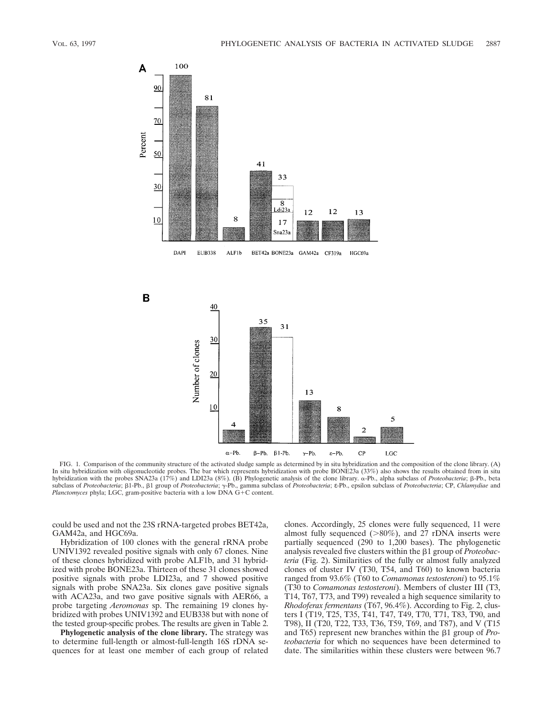

FIG. 1. Comparison of the community structure of the activated sludge sample as determined by in situ hybridization and the composition of the clone library. (A) In situ hybridization with oligonucleotide probes. The bar which represents hybridization with probe BONE23a (33%) also shows the results obtained from in situ hybridization with the probes SNA23a (17%) and LDI23a (8%). (B) Phylogenetic analysis of the clone library.  $\alpha$ -Pb., alpha subclass of *Proteobacteria*;  $\beta$ -Pb., beta subclass of *Proteobacteria*; b1-Pb., b1 group of *Proteobacteria*; g-Pb., gamma subclass of *Proteobacteria*; ε-Pb., epsilon subclass of *Proteobacteria*; CP, *Chlamydiae* and *Planctomyces* phyla; LGC, gram-positive bacteria with a low DNA G+C content.

could be used and not the 23S rRNA-targeted probes BET42a, GAM42a, and HGC69a.

Hybridization of 100 clones with the general rRNA probe UNIV1392 revealed positive signals with only 67 clones. Nine of these clones hybridized with probe ALF1b, and 31 hybridized with probe BONE23a. Thirteen of these 31 clones showed positive signals with probe LDI23a, and 7 showed positive signals with probe SNA23a. Six clones gave positive signals with ACA23a, and two gave positive signals with AER66, a probe targeting *Aeromonas* sp. The remaining 19 clones hybridized with probes UNIV1392 and EUB338 but with none of the tested group-specific probes. The results are given in Table 2.

**Phylogenetic analysis of the clone library.** The strategy was to determine full-length or almost-full-length 16S rDNA sequences for at least one member of each group of related clones. Accordingly, 25 clones were fully sequenced, 11 were almost fully sequenced  $(>80\%)$ , and 27 rDNA inserts were partially sequenced (290 to 1,200 bases). The phylogenetic analysis revealed five clusters within the  $\beta$ 1 group of *Proteobacteria* (Fig. 2). Similarities of the fully or almost fully analyzed clones of cluster IV (T30, T54, and T60) to known bacteria ranged from 93.6% (T60 to *Comamonas testosteroni*) to 95.1% (T30 to *Comamonas testosteroni*). Members of cluster III (T3, T14, T67, T73, and T99) revealed a high sequence similarity to *Rhodoferax fermentans* (T67, 96.4%). According to Fig. 2, clusters I (T19, T25, T35, T41, T47, T49, T70, T71, T83, T90, and T98), II (T20, T22, T33, T36, T59, T69, and T87), and V (T15 and T65) represent new branches within the  $\beta$ 1 group of *Proteobacteria* for which no sequences have been determined to date. The similarities within these clusters were between 96.7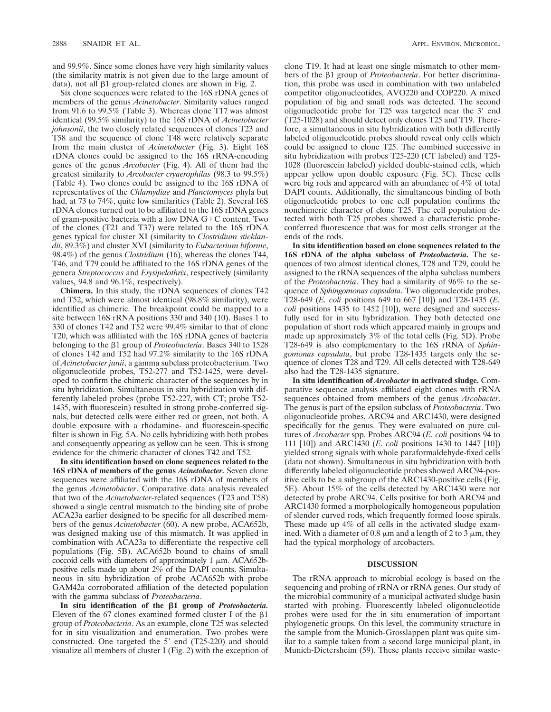and 99.9%. Since some clones have very high similarity values (the similarity matrix is not given due to the large amount of data), not all  $\beta$ 1 group-related clones are shown in Fig. 2.

Six clone sequences were related to the 16S rDNA genes of members of the genus *Acinetobacter*. Similarity values ranged from 91.6 to 99.5% (Table 3). Whereas clone T17 was almost identical (99.5% similarity) to the 16S rDNA of *Acinetobacter johnsonii*, the two closely related sequences of clones T23 and T58 and the sequence of clone T48 were relatively separate from the main cluster of *Acinetobacter* (Fig. 3). Eight 16S rDNA clones could be assigned to the 16S rRNA-encoding genes of the genus *Arcobacter* (Fig. 4). All of them had the greatest similarity to *Arcobacter cryaerophilus* (98.3 to 99.5%) (Table 4). Two clones could be assigned to the 16S rDNA of representatives of the *Chlamydiae* and *Planctomyces* phyla but had, at 73 to 74%, quite low similarities (Table 2). Several 16S rDNA clones turned out to be affiliated to the 16S rDNA genes of gram-positive bacteria with a low DNA  $G+C$  content. Two of the clones (T21 and T37) were related to the 16S rDNA genes typical for cluster XI (similarity to *Clostridium sticklandii*, 89.3%) and cluster XVI (similarity to *Eubacterium biforme*, 98.4%) of the genus *Clostridium* (16), whereas the clones T44, T46, and T79 could be affiliated to the 16S rDNA genes of the genera *Streptococcus* and *Erysipelothrix*, respectively (similarity values, 94.8 and 96.1%, respectively).

**Chimera.** In this study, the rDNA sequences of clones T42 and T52, which were almost identical (98.8% similarity), were identified as chimeric. The breakpoint could be mapped to a site between 16S rRNA positions 330 and 340 (10). Bases 1 to 330 of clones T42 and T52 were 99.4% similar to that of clone T20, which was affiliated with the 16S rDNA genes of bacteria belonging to the b1 group of *Proteobacteria*. Bases 340 to 1528 of clones T42 and T52 had 97.2% similarity to the 16S rDNA of *Acinetobacter junii*, a gamma subclass proteobacterium. Two oligonucleotide probes, T52-277 and T52-1425, were developed to confirm the chimeric character of the sequences by in situ hybridization. Simultaneous in situ hybridization with differently labeled probes (probe T52-227, with CT; probe T52- 1435, with fluorescein) resulted in strong probe-conferred signals, but detected cells were either red or green, not both. A double exposure with a rhodamine- and fluorescein-specific filter is shown in Fig. 5A. No cells hybridizing with both probes and consequently appearing as yellow can be seen. This is strong evidence for the chimeric character of clones T42 and T52.

**In situ identification based on clone sequences related to the 16S rDNA of members of the genus** *Acinetobacter.* Seven clone sequences were affiliated with the 16S rDNA of members of the genus *Acinetobacter*. Comparative data analysis revealed that two of the *Acinetobacter*-related sequences (T23 and T58) showed a single central mismatch to the binding site of probe ACA23a earlier designed to be specific for all described members of the genus *Acinetobacter* (60). A new probe, ACA652b, was designed making use of this mismatch. It was applied in combination with ACA23a to differentiate the respective cell populations (Fig. 5B). ACA652b bound to chains of small coccoid cells with diameters of approximately  $1 \mu m$ . ACA652bpositive cells made up about 2% of the DAPI counts. Simultaneous in situ hybridization of probe ACA652b with probe GAM42a corroborated affiliation of the detected population with the gamma subclass of *Proteobacteria*.

In situ identification of the  $\beta$ 1 group of *Proteobacteria*. Eleven of the 67 clones examined formed cluster I of the  $\beta$ 1 group of *Proteobacteria*. As an example, clone T25 was selected for in situ visualization and enumeration. Two probes were constructed. One targeted the  $5'$  end (T25-220) and should visualize all members of cluster I (Fig. 2) with the exception of

clone T19. It had at least one single mismatch to other members of the β1 group of *Proteobacteria*. For better discrimination, this probe was used in combination with two unlabeled competitor oligonucleotides, AVO220 and COP220. A mixed population of big and small rods was detected. The second oligonucleotide probe for  $T25$  was targeted near the 3' end (T25-1028) and should detect only clones T25 and T19. Therefore, a simultaneous in situ hybridization with both differently labeled oligonucleotide probes should reveal only cells which could be assigned to clone T25. The combined successive in situ hybridization with probes T25-220 (CT labeled) and T25- 1028 (fluorescein labeled) yielded double-stained cells, which appear yellow upon double exposure (Fig. 5C). These cells were big rods and appeared with an abundance of 4% of total DAPI counts. Additionally, the simultaneous binding of both oligonucleotide probes to one cell population confirms the nonchimeric character of clone T25. The cell population detected with both T25 probes showed a characteristic probeconferred fluorescence that was for most cells stronger at the ends of the rods.

**In situ identification based on clone sequences related to the 16S rDNA of the alpha subclass of** *Proteobacteria.* The sequences of two almost identical clones, T28 and T29, could be assigned to the rRNA sequences of the alpha subclass numbers of the *Proteobacteria*. They had a similarity of 96% to the sequence of *Sphingomonas capsulata*. Two oligonucleotide probes, T28-649 (*E. coli* positions 649 to 667 [10]) and T28-1435 (*E. coli* positions 1435 to 1452 [10]), were designed and successfully used for in situ hybridization. They both detected one population of short rods which appeared mainly in groups and made up approximately 3% of the total cells (Fig. 5D). Probe T28-649 is also complementary to the 16S rRNA of *Sphingomonas capsulata*, but probe T28-1435 targets only the sequence of clones T28 and T29. All cells detected with T28-649 also had the T28-1435 signature.

**In situ identification of** *Arcobacter* **in activated sludge.** Comparative sequence analysis affiliated eight clones with rRNA sequences obtained from members of the genus *Arcobacter*. The genus is part of the epsilon subclass of *Proteobacteria*. Two oligonucleotide probes, ARC94 and ARC1430, were designed specifically for the genus. They were evaluated on pure cultures of *Arcobacter* spp. Probes ARC94 (*E. coli* positions 94 to 111 [10]) and ARC1430 (*E. coli* positions 1430 to 1447 [10]) yielded strong signals with whole paraformaldehyde-fixed cells (data not shown). Simultaneous in situ hybridization with both differently labeled oligonucleotide probes showed ARC94-positive cells to be a subgroup of the ARC1430-positive cells (Fig. 5E). About 15% of the cells detected by ARC1430 were not detected by probe ARC94. Cells positive for both ARC94 and ARC1430 formed a morphologically homogeneous population of slender curved rods, which frequently formed loose spirals. These made up 4% of all cells in the activated sludge examined. With a diameter of 0.8  $\mu$ m and a length of 2 to 3  $\mu$ m, they had the typical morphology of arcobacters.

## **DISCUSSION**

The rRNA approach to microbial ecology is based on the sequencing and probing of rRNA or rRNA genes. Our study of the microbial community of a municipal activated sludge basin started with probing. Fluorescently labeled oligonucleotide probes were used for the in situ enumeration of important phylogenetic groups. On this level, the community structure in the sample from the Munich-Grosslappen plant was quite similar to a sample taken from a second large municipal plant, in Munich-Dietersheim (59). These plants receive similar waste-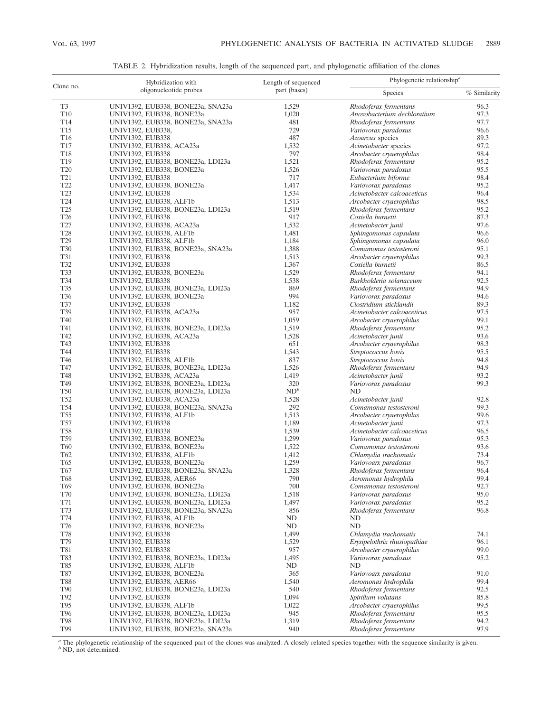|                               | Hybridization with                                                     | Length of sequenced    | Phylogenetic relationship <sup><math>a</math></sup> |              |  |  |
|-------------------------------|------------------------------------------------------------------------|------------------------|-----------------------------------------------------|--------------|--|--|
| Clone no.                     | oligonucleotide probes                                                 | part (bases)           | Species                                             | % Similarity |  |  |
| T <sub>3</sub>                | UNIV1392, EUB338, BONE23a, SNA23a                                      | 1,529                  | Rhodoferax fermentans                               | 96.3         |  |  |
| T10                           | UNIV1392, EUB338, BONE23a                                              | 1,020                  | Anoxobacterium dechloratium                         | 97.3         |  |  |
| T <sub>14</sub>               | UNIV1392, EUB338, BONE23a, SNA23a                                      | 481                    | Rhodoferax fermentans                               | 97.7         |  |  |
| T <sub>15</sub>               | UNIV1392, EUB338,                                                      | 729                    | Variovorax paradoxus                                | 96.6         |  |  |
| T <sub>16</sub>               | <b>UNIV1392, EUB338</b>                                                | 487                    | Azoarcus species                                    | 89.3         |  |  |
| T <sub>17</sub>               | UNIV1392, EUB338, ACA23a                                               | 1,532                  | Acinetobacter species                               | 97.2         |  |  |
| T <sub>18</sub><br>T19        | <b>UNIV1392, EUB338</b>                                                | 797<br>1,521           | Arcobacter cryaerophilus                            | 98.4<br>95.2 |  |  |
| <b>T20</b>                    | UNIV1392, EUB338, BONE23a, LDI23a<br>UNIV1392, EUB338, BONE23a         | 1,526                  | Rhodoferax fermentans<br>Variovorax paradoxus       | 95.5         |  |  |
| T <sub>21</sub>               | <b>UNIV1392, EUB338</b>                                                | 717                    | Eubacterium biforme                                 | 98.4         |  |  |
| T <sub>22</sub>               | UNIV1392, EUB338, BONE23a                                              | 1,417                  | Variovorax paradoxus                                | 95.2         |  |  |
| T <sub>23</sub>               | <b>UNIV1392, EUB338</b>                                                | 1,534                  | Acinetobacter calcoaceticus                         | 96.4         |  |  |
| T24                           | UNIV1392, EUB338, ALF1b                                                | 1,513                  | Arcobacter cryaerophilus                            | 98.5         |  |  |
| T <sub>25</sub>               | UNIV1392, EUB338, BONE23a, LDI23a                                      | 1,519                  | Rhodoferax fermentans                               | 95.2         |  |  |
| T26                           | <b>UNIV1392, EUB338</b>                                                | 917                    | Coxiella burnetti                                   | 87.3         |  |  |
| T27                           | UNIV1392, EUB338, ACA23a                                               | 1,532                  | Acinetobacter junii                                 | 97.6         |  |  |
| T <sub>28</sub>               | UNIV1392, EUB338, ALF1b                                                | 1,481                  | Sphingomonas capsulata                              | 96.6         |  |  |
| T29                           | UNIV1392, EUB338, ALF1b                                                | 1,184                  | Sphingomonas capsulata                              | 96.0         |  |  |
| <b>T30</b>                    | UNIV1392, EUB338, BONE23a, SNA23a                                      | 1,388                  | Comamonas testosteroni                              | 95.1         |  |  |
| T31                           | <b>UNIV1392, EUB338</b>                                                | 1,513                  | Arcobacter cryaerophilus                            | 99.3         |  |  |
| T32                           | <b>UNIV1392, EUB338</b>                                                | 1,367                  | Coxiella burnetii                                   | 86.5         |  |  |
| T33<br>T34                    | UNIV1392, EUB338, BONE23a<br><b>UNIV1392, EUB338</b>                   | 1,529<br>1,538         | Rhodoferax fermentans<br>Burkholderia solanaceum    | 94.1<br>92.5 |  |  |
| T <sub>35</sub>               | UNIV1392, EUB338, BONE23a, LDI23a                                      | 869                    | Rhodoferax fermentans                               | 94.9         |  |  |
| T <sub>36</sub>               | UNIV1392, EUB338, BONE23a                                              | 994                    | Variovorax paradoxus                                | 94.6         |  |  |
| T37                           | <b>UNIV1392, EUB338</b>                                                | 1,182                  | Clostridium sticklandii                             | 89.3         |  |  |
| T39                           | UNIV1392, EUB338, ACA23a                                               | 957                    | Acinetobacter calcoaceticus                         | 97.5         |  |  |
| T40                           | <b>UNIV1392, EUB338</b>                                                | 1,059                  | Arcobacter cryaerophilus                            | 99.1         |  |  |
| T41                           | UNIV1392, EUB338, BONE23a, LDI23a                                      | 1,519                  | Rhodoferax fermentans                               | 95.2         |  |  |
| T42                           | UNIV1392, EUB338, ACA23a                                               | 1,528                  | Acinetobacter junii                                 | 93.6         |  |  |
| T43                           | <b>UNIV1392, EUB338</b>                                                | 651                    | Arcobacter cryaerophilus                            | 98.3         |  |  |
| T44                           | <b>UNIV1392, EUB338</b>                                                | 1,543                  | Streptococcus bovis                                 | 95.5         |  |  |
| T <sub>46</sub>               | UNIV1392, EUB338, ALF1b                                                | 837                    | Streptococcus bovis                                 | 94.8         |  |  |
| T47                           | UNIV1392, EUB338, BONE23a, LDI23a                                      | 1,526                  | Rhodoferax fermentans                               | 94.9         |  |  |
| T48                           | UNIV1392, EUB338, ACA23a                                               | 1,419                  | Acinetobacter junii                                 | 93.2         |  |  |
| T <sub>49</sub><br><b>T50</b> | UNIV1392, EUB338, BONE23a, LDI23a                                      | 320<br>ND <sup>b</sup> | Variovorax paradoxus<br>ND                          | 99.3         |  |  |
| T <sub>52</sub>               | UNIV1392, EUB338, BONE23a, LDI23a<br>UNIV1392, EUB338, ACA23a          | 1,528                  | Acinetobacter junii                                 | 92.8         |  |  |
| T <sub>54</sub>               | UNIV1392, EUB338, BONE23a, SNA23a                                      | 292                    | Comamonas testosteroni                              | 99.3         |  |  |
| <b>T55</b>                    | UNIV1392, EUB338, ALF1b                                                | 1,513                  | Arcobacter cryaerophilus                            | 99.6         |  |  |
| T <sub>57</sub>               | <b>UNIV1392, EUB338</b>                                                | 1,189                  | Acinetobacter junii                                 | 97.3         |  |  |
| <b>T58</b>                    | <b>UNIV1392, EUB338</b>                                                | 1,539                  | Acinetobacter calcoaceticus                         | 96.5         |  |  |
| T <sub>59</sub>               | UNIV1392, EUB338, BONE23a                                              | 1,299                  | Variovorax paradoxus                                | 95.3         |  |  |
| <b>T60</b>                    | UNIV1392, EUB338, BONE23a                                              | 1,522                  | Comamonas testosteroni                              | 93.6         |  |  |
| T <sub>62</sub>               | UNIV1392, EUB338, ALF1b                                                | 1,412                  | Chlamydia trachomatis                               | 73.4         |  |  |
| T65                           | UNIV1392, EUB338, BONE23a                                              | 1,259                  | Variovoarx paradoxus                                | 96.7         |  |  |
| T67                           | UNIV1392, EUB338, BONE23a, SNA23a                                      | 1,328                  | Rhodoferax fermentans                               | 96.4         |  |  |
| T <sub>68</sub>               | UNIV1392, EUB338, AER66                                                | 790                    | Aeromonas hydrophila                                | 99.4         |  |  |
| T <sub>69</sub>               | UNIV1392, EUB338, BONE23a                                              | 700                    | Comamonas testosteroni                              | 92.7         |  |  |
| T70<br>T71                    | UNIV1392, EUB338, BONE23a, LDI23a<br>UNIV1392, EUB338, BONE23a, LDI23a | 1,518<br>1,497         | Variovorax paradoxus<br>Variovorax paradoxus        | 95.0<br>95.2 |  |  |
| T73                           | UNIV1392, EUB338, BONE23a, SNA23a                                      | 856                    | Rhodoferax fermentans                               | 96.8         |  |  |
| T74                           | UNIV1392, EUB338, ALF1b                                                | ND                     | ND                                                  |              |  |  |
| T76                           | UNIV1392, EUB338, BONE23a                                              | ND                     | ND                                                  |              |  |  |
| <b>T78</b>                    | UNIV1392, EUB338                                                       | 1,499                  | Chlamydia trachomatis                               | 74.1         |  |  |
| T79                           | <b>UNIV1392, EUB338</b>                                                | 1,529                  | Erysipelothrix rhusiopathiae                        | 96.1         |  |  |
| <b>T81</b>                    | <b>UNIV1392, EUB338</b>                                                | 957                    | Arcobacter cryaerophilus                            | 99.0         |  |  |
| T83                           | UNIV1392, EUB338, BONE23a, LDI23a                                      | 1,495                  | Variovorax paradoxus                                | 95.2         |  |  |
| T85                           | UNIV1392, EUB338, ALF1b                                                | ND                     | ND                                                  |              |  |  |
| T87                           | UNIV1392, EUB338, BONE23a                                              | 365                    | Variovoarx paradoxus                                | 91.0         |  |  |
| <b>T88</b>                    | UNIV1392, EUB338, AER66                                                | 1,540                  | Aeromonas hydrophila                                | 99.4         |  |  |
| T90                           | UNIV1392, EUB338, BONE23a, LDI23a                                      | 540                    | Rhodoferax fermentans                               | 92.5         |  |  |
| T92                           | <b>UNIV1392, EUB338</b>                                                | 1,094                  | Spirillum volutans                                  | 85.8         |  |  |
| T95<br>T <sub>96</sub>        | UNIV1392, EUB338, ALF1b                                                | 1,022                  | Arcobacter cryaerophilus                            | 99.5<br>95.5 |  |  |
| T98                           | UNIV1392, EUB338, BONE23a, LDI23a<br>UNIV1392, EUB338, BONE23a, LDI23a | 945<br>1,319           | Rhodoferax fermentans<br>Rhodoferax fermentans      | 94.2         |  |  |
| T99                           | UNIV1392, EUB338, BONE23a, SNA23a                                      | 940                    | Rhodoferax fermentans                               | 97.9         |  |  |
|                               |                                                                        |                        |                                                     |              |  |  |

TABLE 2. Hybridization results, length of the sequenced part, and phylogenetic affiliation of the clones

*<sup>a</sup>* The phylogenetic relationship of the sequenced part of the clones was analyzed. A closely related species together with the sequence similarity is given. *<sup>b</sup>* ND, not determined.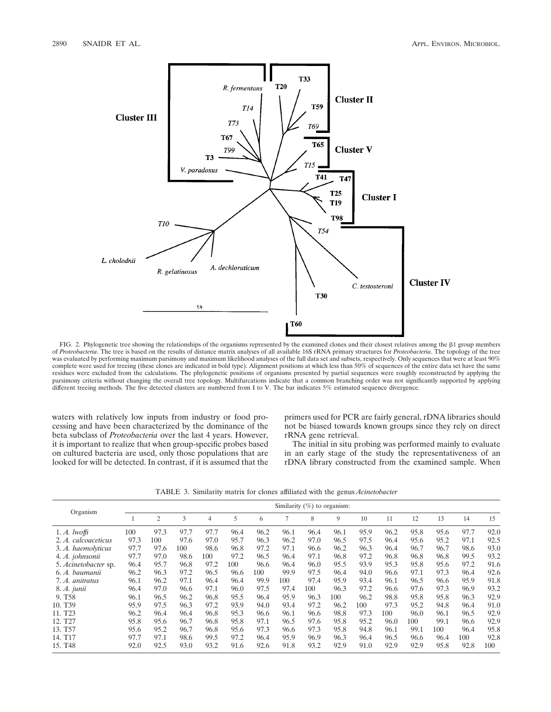

FIG. 2. Phylogenetic tree showing the relationships of the organisms represented by the examined clones and their closest relatives among the b1 group members of *Proteobacteria*. The tree is based on the results of distance matrix analyses of all available 16S rRNA primary structures for *Proteobacteria*. The topology of the tree was evaluated by performing maximum parsimony and maximum likelihood analyses of the full data set and subsets, respectively. Only sequences that were at least 90% complete were used for treeing (these clones are indicated in bold type). Alignment positions at which less than 50% of sequences of the entire data set have the same residues were excluded from the calculations. The phylogenetic positions of organisms presented by partial sequences were roughly reconstructed by applying the parsimony criteria without changing the overall tree topology. Multifurcations indicate that a common branching order was not significantly supported by applying different treeing methods. The five detected clusters are numbered from I to V. The bar indicates 5% estimated sequence divergence.

waters with relatively low inputs from industry or food processing and have been characterized by the dominance of the beta subclass of *Proteobacteria* over the last 4 years. However, it is important to realize that when group-specific probes based on cultured bacteria are used, only those populations that are looked for will be detected. In contrast, if it is assumed that the primers used for PCR are fairly general, rDNA libraries should not be biased towards known groups since they rely on direct rRNA gene retrieval.

The initial in situ probing was performed mainly to evaluate in an early stage of the study the representativeness of an rDNA library constructed from the examined sample. When

TABLE 3. Similarity matrix for clones affiliated with the genus *Acinetobacter*

|                      | Similarity $(\%)$ to organism: |      |      |      |      |      |      |      |      |      |      |      |      |      |      |
|----------------------|--------------------------------|------|------|------|------|------|------|------|------|------|------|------|------|------|------|
| Organism             |                                | 2    | 3    | 4    | 5    | 6    |      | 8    | 9    | 10   | 11   | 12   | 13   | 14   | 15   |
| $1. A.$ lwoffi       | 100                            | 97.3 | 97.7 | 97.7 | 96.4 | 96.2 | 96.1 | 96.4 | 96.1 | 95.9 | 96.2 | 95.8 | 95.6 | 97.7 | 92.0 |
| 2. A. calcoaceticus  | 97.3                           | 100  | 97.6 | 97.0 | 95.7 | 96.3 | 96.2 | 97.0 | 96.5 | 97.5 | 96.4 | 95.6 | 95.2 | 97.1 | 92.5 |
| 3. A. haemolyticus   | 97.7                           | 97.6 | 100  | 98.6 | 96.8 | 97.2 | 97.1 | 96.6 | 96.2 | 96.3 | 96.4 | 96.7 | 96.7 | 98.6 | 93.0 |
| 4. A. johnsonii      | 97.7                           | 97.0 | 98.6 | 100  | 97.2 | 96.5 | 96.4 | 97.1 | 96.8 | 97.2 | 96.8 | 96.8 | 96.8 | 99.5 | 93.2 |
| 5. Acinetobacter sp. | 96.4                           | 95.7 | 96.8 | 97.2 | 100  | 96.6 | 96.4 | 96.0 | 95.5 | 93.9 | 95.3 | 95.8 | 95.6 | 97.2 | 91.6 |
| 6. A. baumanii       | 96.2                           | 96.3 | 97.2 | 96.5 | 96.6 | 100  | 99.9 | 97.5 | 96.4 | 94.0 | 96.6 | 97.1 | 97.3 | 96.4 | 92.6 |
| 7. A. anitratus      | 96.1                           | 96.2 | 97.1 | 96.4 | 96.4 | 99.9 | 100  | 97.4 | 95.9 | 93.4 | 96.1 | 96.5 | 96.6 | 95.9 | 91.8 |
| 8. A. junii          | 96.4                           | 97.0 | 96.6 | 97.1 | 96.0 | 97.5 | 97.4 | 100  | 96.3 | 97.2 | 96.6 | 97.6 | 97.3 | 96.9 | 93.2 |
| 9. T <sub>58</sub>   | 96.1                           | 96.5 | 96.2 | 96.8 | 95.5 | 96.4 | 95.9 | 96.3 | 100  | 96.2 | 98.8 | 95.8 | 95.8 | 96.3 | 92.9 |
| 10. T <sub>39</sub>  | 95.9                           | 97.5 | 96.3 | 97.2 | 93.9 | 94.0 | 93.4 | 97.2 | 96.2 | 100  | 97.3 | 95.2 | 94.8 | 96.4 | 91.0 |
| 11. T <sub>23</sub>  | 96.2                           | 96.4 | 96.4 | 96.8 | 95.3 | 96.6 | 96.1 | 96.6 | 98.8 | 97.3 | 100  | 96.0 | 96.1 | 96.5 | 92.9 |
| 12. T <sub>27</sub>  | 95.8                           | 95.6 | 96.7 | 96.8 | 95.8 | 97.1 | 96.5 | 97.6 | 95.8 | 95.2 | 96.0 | 100  | 99.1 | 96.6 | 92.9 |
| 13. T <sub>57</sub>  | 95.6                           | 95.2 | 96.7 | 96.8 | 95.6 | 97.3 | 96.6 | 97.3 | 95.8 | 94.8 | 96.1 | 99.1 | 100  | 96.4 | 95.8 |
| 14. T <sub>17</sub>  | 97.7                           | 97.1 | 98.6 | 99.5 | 97.2 | 96.4 | 95.9 | 96.9 | 96.3 | 96.4 | 96.5 | 96.6 | 96.4 | 100  | 92.8 |
| 15. T <sub>48</sub>  | 92.0                           | 92.5 | 93.0 | 93.2 | 91.6 | 92.6 | 91.8 | 93.2 | 92.9 | 91.0 | 92.9 | 92.9 | 95.8 | 92.8 | 100  |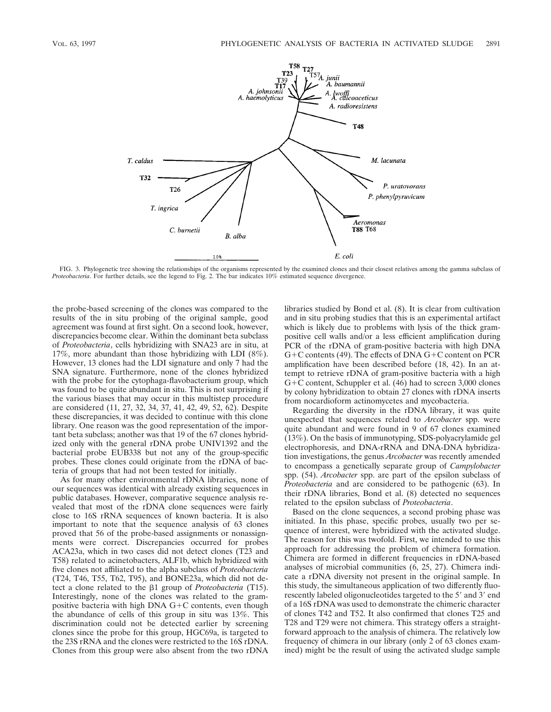

FIG. 3. Phylogenetic tree showing the relationships of the organisms represented by the examined clones and their closest relatives among the gamma subclass of *Proteobacteria*. For further details, see the legend to Fig. 2. The bar indicates 10% estimated sequence divergence.

the probe-based screening of the clones was compared to the results of the in situ probing of the original sample, good agreement was found at first sight. On a second look, however, discrepancies become clear. Within the dominant beta subclass of *Proteobacteria*, cells hybridizing with SNA23 are in situ, at 17%, more abundant than those hybridizing with LDI (8%). However, 13 clones had the LDI signature and only 7 had the SNA signature. Furthermore, none of the clones hybridized with the probe for the cytophaga-flavobacterium group, which was found to be quite abundant in situ. This is not surprising if the various biases that may occur in this multistep procedure are considered (11, 27, 32, 34, 37, 41, 42, 49, 52, 62). Despite these discrepancies, it was decided to continue with this clone library. One reason was the good representation of the important beta subclass; another was that 19 of the 67 clones hybridized only with the general rDNA probe UNIV1392 and the bacterial probe EUB338 but not any of the group-specific probes. These clones could originate from the rDNA of bacteria of groups that had not been tested for initially.

As for many other environmental rDNA libraries, none of our sequences was identical with already existing sequences in public databases. However, comparative sequence analysis revealed that most of the rDNA clone sequences were fairly close to 16S rRNA sequences of known bacteria. It is also important to note that the sequence analysis of 63 clones proved that 56 of the probe-based assignments or nonassignments were correct. Discrepancies occurred for probes ACA23a, which in two cases did not detect clones (T23 and T58) related to acinetobacters, ALF1b, which hybridized with five clones not affiliated to the alpha subclass of *Proteobacteria* (T24, T46, T55, T62, T95), and BONE23a, which did not detect a clone related to the β1 group of *Proteobacteria* (T15). Interestingly, none of the clones was related to the grampositive bacteria with high DNA  $G+C$  contents, even though the abundance of cells of this group in situ was 13%. This discrimination could not be detected earlier by screening clones since the probe for this group, HGC69a, is targeted to the 23S rRNA and the clones were restricted to the 16S rDNA. Clones from this group were also absent from the two rDNA libraries studied by Bond et al. (8). It is clear from cultivation and in situ probing studies that this is an experimental artifact which is likely due to problems with lysis of the thick grampositive cell walls and/or a less efficient amplification during PCR of the rDNA of gram-positive bacteria with high DNA  $G+C$  contents (49). The effects of DNA  $G+C$  content on PCR amplification have been described before (18, 42). In an attempt to retrieve rDNA of gram-positive bacteria with a high  $G+C$  content, Schuppler et al. (46) had to screen 3,000 clones by colony hybridization to obtain 27 clones with rDNA inserts from nocardioform actinomycetes and mycobacteria.

Regarding the diversity in the rDNA library, it was quite unexpected that sequences related to *Arcobacter* spp. were quite abundant and were found in 9 of 67 clones examined (13%). On the basis of immunotyping, SDS-polyacrylamide gel electrophoresis, and DNA-rRNA and DNA-DNA hybridization investigations, the genus *Arcobacter* was recently amended to encompass a genetically separate group of *Campylobacter* spp. (54). *Arcobacter* spp. are part of the epsilon subclass of *Proteobacteria* and are considered to be pathogenic (63). In their rDNA libraries, Bond et al. (8) detected no sequences related to the epsilon subclass of *Proteobacteria*.

Based on the clone sequences, a second probing phase was initiated. In this phase, specific probes, usually two per sequence of interest, were hybridized with the activated sludge. The reason for this was twofold. First, we intended to use this approach for addressing the problem of chimera formation. Chimera are formed in different frequencies in rDNA-based analyses of microbial communities (6, 25, 27). Chimera indicate a rDNA diversity not present in the original sample. In this study, the simultaneous application of two differently fluorescently labeled oligonucleotides targeted to the 5' and 3' end of a 16S rDNA was used to demonstrate the chimeric character of clones T42 and T52. It also confirmed that clones T25 and T28 and T29 were not chimera. This strategy offers a straightforward approach to the analysis of chimera. The relatively low frequency of chimera in our library (only 2 of 63 clones examined) might be the result of using the activated sludge sample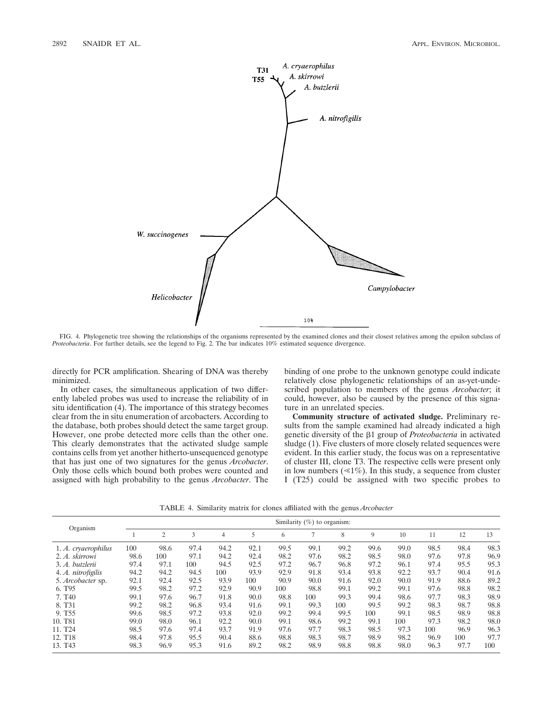

FIG. 4. Phylogenetic tree showing the relationships of the organisms represented by the examined clones and their closest relatives among the epsilon subclass of *Proteobacteria*. For further details, see the legend to Fig. 2. The bar indicates 10% estimated sequence divergence.

directly for PCR amplification. Shearing of DNA was thereby minimized.

In other cases, the simultaneous application of two differently labeled probes was used to increase the reliability of in situ identification (4). The importance of this strategy becomes clear from the in situ enumeration of arcobacters. According to the database, both probes should detect the same target group. However, one probe detected more cells than the other one. This clearly demonstrates that the activated sludge sample contains cells from yet another hitherto-unsequenced genotype that has just one of two signatures for the genus *Arcobacter*. Only those cells which bound both probes were counted and assigned with high probability to the genus *Arcobacter*. The binding of one probe to the unknown genotype could indicate relatively close phylogenetic relationships of an as-yet-undescribed population to members of the genus *Arcobacter*; it could, however, also be caused by the presence of this signature in an unrelated species.

**Community structure of activated sludge.** Preliminary results from the sample examined had already indicated a high genetic diversity of the b1 group of *Proteobacteria* in activated sludge (1). Five clusters of more closely related sequences were evident. In this earlier study, the focus was on a representative of cluster III, clone T3. The respective cells were present only in low numbers  $(\leq 1\%)$ . In this study, a sequence from cluster I (T25) could be assigned with two specific probes to

TABLE 4. Similarity matrix for clones affiliated with the genus *Arcobacter*

|                     | Similarity $(\%)$ to organism: |      |      |      |      |      |      |      |      |      |      |      |      |
|---------------------|--------------------------------|------|------|------|------|------|------|------|------|------|------|------|------|
| Organism            |                                | 2    | 3    | 4    | 5    | 6    | ⇁    | 8    | 9    | 10   | 11   | 12   | 13   |
| 1. A. cryaerophilus | 100                            | 98.6 | 97.4 | 94.2 | 92.1 | 99.5 | 99.1 | 99.2 | 99.6 | 99.0 | 98.5 | 98.4 | 98.3 |
| 2. A. skirrowi      | 98.6                           | 100  | 97.1 | 94.2 | 92.4 | 98.2 | 97.6 | 98.2 | 98.5 | 98.0 | 97.6 | 97.8 | 96.9 |
| 3. A. butzlerii     | 97.4                           | 97.1 | 100  | 94.5 | 92.5 | 97.2 | 96.7 | 96.8 | 97.2 | 96.1 | 97.4 | 95.5 | 95.3 |
| 4. A. nitrofigilis  | 94.2                           | 94.2 | 94.5 | 100  | 93.9 | 92.9 | 91.8 | 93.4 | 93.8 | 92.2 | 93.7 | 90.4 | 91.6 |
| 5. Arcobacter sp.   | 92.1                           | 92.4 | 92.5 | 93.9 | 100  | 90.9 | 90.0 | 91.6 | 92.0 | 90.0 | 91.9 | 88.6 | 89.2 |
| 6. T <sub>95</sub>  | 99.5                           | 98.2 | 97.2 | 92.9 | 90.9 | 100  | 98.8 | 99.1 | 99.2 | 99.1 | 97.6 | 98.8 | 98.2 |
| 7. T <sub>40</sub>  | 99.1                           | 97.6 | 96.7 | 91.8 | 90.0 | 98.8 | 100  | 99.3 | 99.4 | 98.6 | 97.7 | 98.3 | 98.9 |
| 8. T <sub>31</sub>  | 99.2                           | 98.2 | 96.8 | 93.4 | 91.6 | 99.1 | 99.3 | 100  | 99.5 | 99.2 | 98.3 | 98.7 | 98.8 |
| 9. T <sub>55</sub>  | 99.6                           | 98.5 | 97.2 | 93.8 | 92.0 | 99.2 | 99.4 | 99.5 | 100  | 99.1 | 98.5 | 98.9 | 98.8 |
| 10. T81             | 99.0                           | 98.0 | 96.1 | 92.2 | 90.0 | 99.1 | 98.6 | 99.2 | 99.1 | 100  | 97.3 | 98.2 | 98.0 |
| 11. T <sub>24</sub> | 98.5                           | 97.6 | 97.4 | 93.7 | 91.9 | 97.6 | 97.7 | 98.3 | 98.5 | 97.3 | 100  | 96.9 | 96.3 |
| 12. T <sub>18</sub> | 98.4                           | 97.8 | 95.5 | 90.4 | 88.6 | 98.8 | 98.3 | 98.7 | 98.9 | 98.2 | 96.9 | 100  | 97.7 |
| 13. T <sub>43</sub> | 98.3                           | 96.9 | 95.3 | 91.6 | 89.2 | 98.2 | 98.9 | 98.8 | 98.8 | 98.0 | 96.3 | 97.7 | 100  |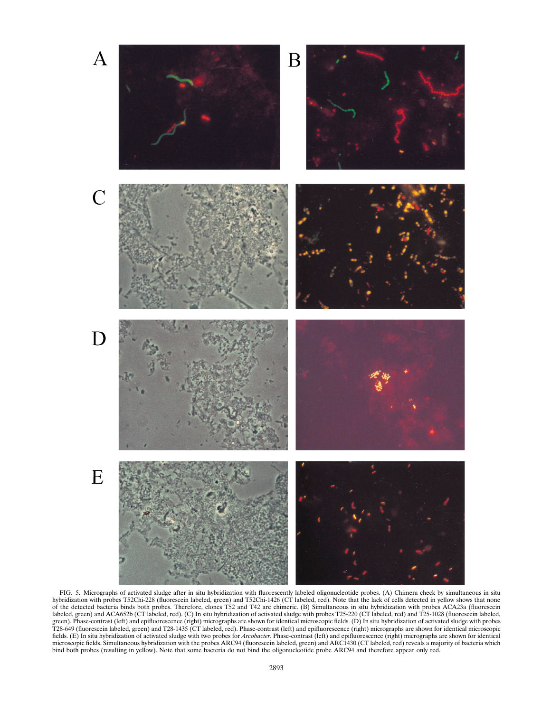

FIG. 5. Micrographs of activated sludge after in situ hybridization with fluorescently labeled oligonucleotide probes. (A) Chimera check by simultaneous in situ hybridization with probes T52Chi-228 (fluorescein labeled, green) and T52Chi-1426 (CT labeled, red). Note that the lack of cells detected in yellow shows that none of the detected bacteria binds both probes. Therefore, clones T52 and T42 are chimeric. (B) Simultaneous in situ hybridization with probes ACA23a (fluorescein labeled, green) and ACA652b (CT labeled, red). (C) In situ hybridization of activated sludge with probes T25-220 (CT labeled, red) and T25-1028 (fluorescein labeled, green). Phase-contrast (left) and epifluorescence (right) micrographs are shown for identical microscopic fields. (D) In situ hybridization of activated sludge with probes T28-649 (fluorescein labeled, green) and T28-1435 (CT labeled, red). Phase-contrast (left) and epifluorescence (right) micrographs are shown for identical microscopic fields. (E) In situ hybridization of activated sludge with two probes for *Arcobacter*. Phase-contrast (left) and epifluorescence (right) micrographs are shown for identical microscopic fields. Simultaneous hybridization with the probes ARC94 (fluorescein labeled, green) and ARC1430 (CT labeled, red) reveals a majority of bacteria which bind both probes (resulting in yellow). Note that some bacteria do not bind the oligonucleotide probe ARC94 and therefore appear only red.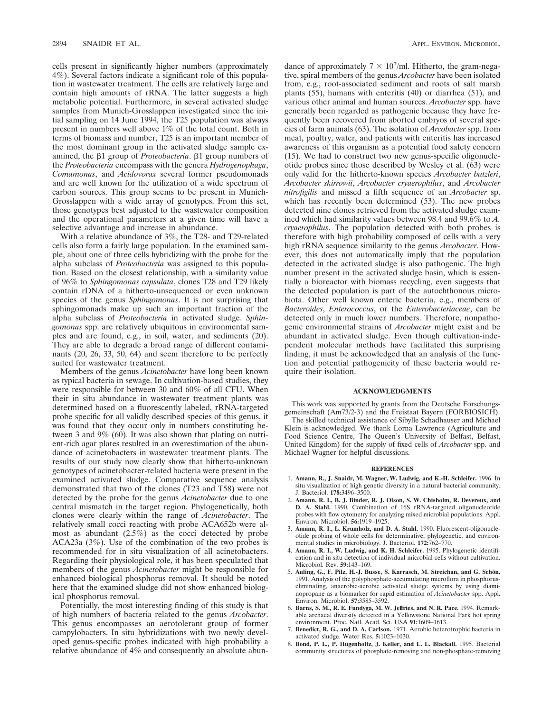cells present in significantly higher numbers (approximately 4%). Several factors indicate a significant role of this population in wastewater treatment. The cells are relatively large and contain high amounts of rRNA. The latter suggests a high metabolic potential. Furthermore, in several activated sludge samples from Munich-Grosslappen investigated since the initial sampling on 14 June 1994, the T25 population was always present in numbers well above 1% of the total count. Both in terms of biomass and number, T25 is an important member of the most dominant group in the activated sludge sample examined, the β1 group of *Proteobacteria*. β1 group numbers of the *Proteobacteria* encompass with the genera *Hydrogenophaga*, *Comamonas*, and *Acidovorax* several former pseudomonads and are well known for the utilization of a wide spectrum of carbon sources. This group seems to be present in Munich-Grosslappen with a wide array of genotypes. From this set, those genotypes best adjusted to the wastewater composition and the operational parameters at a given time will have a selective advantage and increase in abundance.

With a relative abundance of 3%, the T28- and T29-related cells also form a fairly large population. In the examined sample, about one of three cells hybridizing with the probe for the alpha subclass of *Proteobacteria* was assigned to this population. Based on the closest relationship, with a similarity value of 96% to *Sphingomonas capsulata*, clones T28 and T29 likely contain rDNA of a hitherto-unsequenced or even unknown species of the genus *Sphingomonas*. It is not surprising that sphingomonads make up such an important fraction of the alpha subclass of *Proteobacteria* in activated sludge. *Sphingomonas* spp. are relatively ubiquitous in environmental samples and are found, e.g., in soil, water, and sediments (20). They are able to degrade a broad range of different contaminants (20, 26, 33, 50, 64) and seem therefore to be perfectly suited for wastewater treatment.

Members of the genus *Acinetobacter* have long been known as typical bacteria in sewage. In cultivation-based studies, they were responsible for between 30 and 60% of all CFU. When their in situ abundance in wastewater treatment plants was determined based on a fluorescently labeled, rRNA-targeted probe specific for all validly described species of this genus, it was found that they occur only in numbers constituting between 3 and 9% (60). It was also shown that plating on nutrient-rich agar plates resulted in an overestimation of the abundance of acinetobacters in wastewater treatment plants. The results of our study now clearly show that hitherto-unknown genotypes of acinetobacter-related bacteria were present in the examined activated sludge. Comparative sequence analysis demonstrated that two of the clones (T23 and T58) were not detected by the probe for the genus *Acinetobacter* due to one central mismatch in the target region. Phylogenetically, both clones were clearly within the range of *Acinetobacter*. The relatively small cocci reacting with probe ACA652b were almost as abundant (2.5%) as the cocci detected by probe ACA23a (3%). Use of the combination of the two probes is recommended for in situ visualization of all acinetobacters. Regarding their physiological role, it has been speculated that members of the genus *Acinetobacter* might be responsible for enhanced biological phosphorus removal. It should be noted here that the examined sludge did not show enhanced biological phosphorus removal.

Potentially, the most interesting finding of this study is that of high numbers of bacteria related to the genus *Arcobacter*. This genus encompasses an aerotolerant group of former campylobacters. In situ hybridizations with two newly developed genus-specific probes indicated with high probability a relative abundance of 4% and consequently an absolute abun-

dance of approximately  $7 \times 10^7$ /ml. Hitherto, the gram-negative, spiral members of the genus *Arcobacter* have been isolated from, e.g., root-associated sediment and roots of salt marsh plants  $(55)$ , humans with enteritis  $(40)$  or diarrhea  $(51)$ , and various other animal and human sources. *Arcobacter* spp. have generally been regarded as pathogenic because they have frequently been recovered from aborted embryos of several species of farm animals (63). The isolation of *Arcobacter* spp. from meat, poultry, water, and patients with enteritis has increased awareness of this organism as a potential food safety concern (15). We had to construct two new genus-specific oligonucleotide probes since those described by Wesley et al. (63) were only valid for the hitherto-known species *Arcobacter butzleri*, *Arcobacter skirrowii*, *Arcobacter cryaerophilus*, and *Arcobacter nitrofigilis* and missed a fifth sequence of an *Arcobacter* sp. which has recently been determined (53). The new probes detected nine clones retrieved from the activated sludge examined which had similarity values between 98.4 and 99.6% to *A. cryaerophilus*. The population detected with both probes is therefore with high probability composed of cells with a very high rRNA sequence similarity to the genus *Arcobacter*. However, this does not automatically imply that the population detected in the activated sludge is also pathogenic. The high number present in the activated sludge basin, which is essentially a bioreactor with biomass recycling, even suggests that the detected population is part of the autochthonous microbiota. Other well known enteric bacteria, e.g., members of *Bacteroides*, *Enterococcus*, or the *Enterobacteriaceae*, can be detected only in much lower numbers. Therefore, nonpathogenic environmental strains of *Arcobacter* might exist and be abundant in activated sludge. Even though cultivation-independent molecular methods have facilitated this surprising finding, it must be acknowledged that an analysis of the function and potential pathogenicity of these bacteria would require their isolation.

### **ACKNOWLEDGMENTS**

This work was supported by grants from the Deutsche Forschungsgemeinschaft (Am73/2-3) and the Freistaat Bayern (FORBIOSICH). The skilled technical assistance of Sibylle Schadhauser and Michael Klein is acknowledged. We thank Lorna Lawrence (Agriculture and Food Science Centre, The Queen's University of Belfast, Belfast, United Kingdom) for the supply of fixed cells of *Arcobacter* spp. and Michael Wagner for helpful discussions.

#### **REFERENCES**

- 1. **Amann, R., J. Snaidr, M. Wagner, W. Ludwig, and K.-H. Schleifer.** 1996. In situ visualization of high genetic diversity in a natural bacterial community. J. Bacteriol. **178:**3496–3500.
- 2. **Amann, R. I., B. J. Binder, R. J. Olson, S. W. Chisholm, R. Devereux, and D. A. Stahl.** 1990. Combination of 16S rRNA-targeted oligonucleotide probes with flow cytometry for analyzing mixed microbial populations. Appl. Environ. Microbiol. **56:**1919–1925.
- 3. **Amann, R. I., L. Krumholz, and D. A. Stahl.** 1990. Fluorescent-oligonucleotide probing of whole cells for determinative, phylogenetic, and environmental studies in microbiology. J. Bacteriol. **172:**762–770.
- 4. **Amann, R. I., W. Ludwig, and K. H. Schleifer.** 1995. Phylogenetic identification and in situ detection of individual microbial cells without cultivation. Microbiol. Rev. **59:**143–169.
- 5. Auling, G., F. Pilz, H.-J. Busse, S. Karrasch, M. Streichan, and G. Schön. 1991. Analysis of the polyphosphate-accumulating microflora in phosphoruseliminating, anaerobic-aerobic activated sludge systems by using diaminopropane as a biomarker for rapid estimation of *Acinetobacter* spp. Appl. Environ. Microbiol. **57:**3585–3592.
- 6. **Barns, S. M., R. E. Fundyga, M. W. Jeffries, and N. R. Pace.** 1994. Remarkable archaeal diversity detected in a Yellowstone National Park hot spring environment. Proc. Natl. Acad. Sci. USA **91:**1609–1613.
- 7. **Benedict, R. G., and D. A. Carlson.** 1971. Aerobic heterotrophic bacteria in activated sludge. Water Res. **5:**1023–1030.
- 8. **Bond, P. L., P. Hugenholtz, J. Keller, and L. L. Blackall.** 1995. Bacterial community structures of phosphate-removing and non-phosphate-removing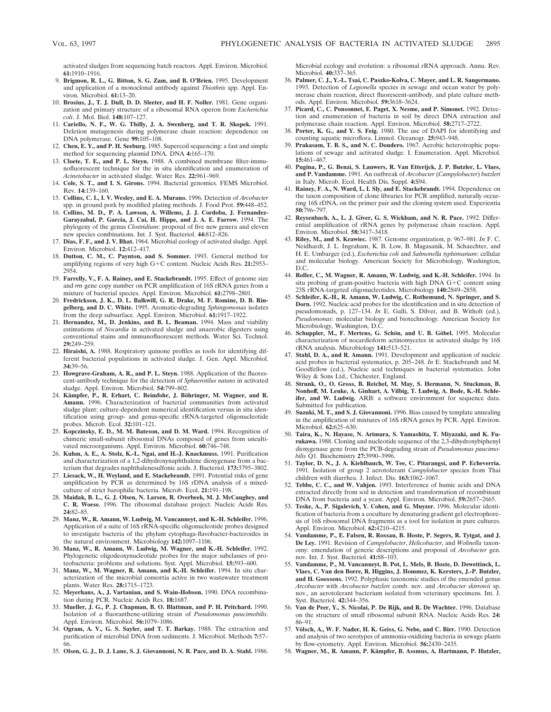activated sludges from sequencing batch reactors. Appl. Environ. Microbiol. **61:**1910–1916.

- 9. **Brigmon, R. L., G. Bitton, S. G. Zam, and B. O'Brien.** 1995. Development and application of a monoclonal antibody against *Thiothrix* spp. Appl. Environ. Microbiol. **61:**13–20.
- 10. **Brosius, J., T. J. Dull, D. D. Sleeter, and H. F. Noller.** 1981. Gene organization and primary structure of a ribosomal RNA operon from *Escherichia coli*. J. Mol. Biol. **148:**107–127.
- 11. **Cariello, N. F., W. G. Thilly, J. A. Swenberg, and T. R. Skopek.** 1991. Deletion mutagenesis during polymerase chain reaction: dependence on DNA polymerase. Gene **99:**105–108.
- 12. **Chen, E. Y., and P. H. Seeburg.** 1985. Supercoil sequencing: a fast and simple method for sequencing plasmid DNA. DNA **4:**165–170.
- 13. **Cloete, T. E., and P. L. Steyn.** 1988. A combined membrane filter-immunofluorescent technique for the in situ identification and enumeration of *Acinetobacter* in activated sludge. Water Res. **22:**961–969.
- 14. **Cole, S. T., and I. S. Girons.** 1994. Bacterial genomics. FEMS Microbiol. Rev. **14:**139–160.
- 15. **Collins, C. I., I. V. Wesley, and E. A. Murano.** 1996. Detection of *Arcobacter* spp. in ground pork by modified plating methods. J. Food Prot. **59:**448–452.
- 16. **Collins, M. D., P. A. Lawson, A. Willems, J. J. Cordoba, J. Fernandez-Garayzabal, P. Garcia, J. Cai, H. Hippe, and J. A. E. Farrow.** 1994. The phylogeny of the genus *Clostridium*: proposal of five new genera and eleven new species combinations. Int. J. Syst. Bacteriol. **44:**812–826.
- 17. **Dias, F. F., and J. V. Bhat.** 1964. Microbial ecology of activated sludge. Appl. Environ. Microbiol. **12:**412–417.
- 18. **Dutton, C. M., C. Paynton, and S. Sommer.** 1993. General method for amplifying regions of very high G+C content. Nucleic Acids Res. 21:2953-2954.
- 19. **Farrelly, V., F. A. Rainey, and E. Stackebrandt.** 1995. Effect of genome size and *rrn* gene copy number on PCR amplification of 16S rRNA genes from a mixture of bacterial species. Appl. Environ. Microbiol. **61:**2798–2801.
- 20. **Fredrickson, J. K., D. L. Balkwill, G. R. Drake, M. F. Romine, D. B. Ringelberg, and D. C. White.** 1995. Aromatic-degrading *Sphingomonas* isolates from the deep subsurface. Appl. Environ. Microbiol. **61:**1917–1922.
- 21. **Hernandez, M., D. Jenkins, and B. L. Beaman.** 1994. Mass and viability estimations of *Nocardia* in activated sludge and anaerobic digesters using conventional stains and immunofluorescent methods. Water Sci. Technol. **29:**249–259.
- 22. **Hiraishi, A.** 1988. Respiratory quinone profiles as tools for identifying different bacterial populations in activated sludge. J. Gen. Appl. Microbiol. **34:**39–56.
- 23. **Howgrave-Graham, A. R., and P. L. Steyn.** 1988. Application of the fluorescent-antibody technique for the detection of *Sphaerotilus natans* in activated sludge. Appl. Environ. Microbiol. **54:**799–802.
- 24. Kämpfer, P., R. Erhart, C. Beimfohr, J. Böhringer, M. Wagner, and R. **Amann.** 1996. Characterization of bacterial communities from activated sludge plant: culture-dependent numerical identification versus in situ identification using group- and genus-specific rRNA-targeted oligonucleotide probes. Microb. Ecol. **32:**101–121.
- 25. **Kopczinsky, E. D., M. M. Bateson, and D. M. Ward.** 1994. Recognition of chimeric small-subunit ribosomal DNAs composed of genes from uncultivated microorganisms. Appl. Environ. Microbiol. **60:**746–748.
- 26. **Kuhm, A. E., A. Stolz, K.-L. Ngai, and H.-J. Knackmuss.** 1991. Purification and characterization of a 1,2-dihydroxynaphthalene dioxygenase from a bacterium that degrades naphthalenesulfonic acids. J. Bacteriol. **173:**3795–3802.
- 27. **Liesack, W., H. Weyland, and E. Stackebrandt.** 1991. Potential risks of gene amplification by PCR as determined by 16S rDNA analysis of a mixedculture of strict barophilic bacteria. Microb. Ecol. **21:**191–198.
- 28. **Maidak, B. L., G. J. Olsen, N. Larsen, R. Overbeek, M. J. McCaughey, and C. R. Woese.** 1996. The ribosomal database project. Nucleic Acids Res. **24:**82–85.
- 29. **Manz, W., R. Amann, W. Ludwig, M. Vancanneyt, and K.-H. Schleifer.** 1996. Application of a suite of 16S rRNA-specific oligonucleotide probes designed to investigate bacteria of the phylum cytophaga-flavobacter-bacteroides in the natural environment. Microbiology **142:**1097–1106.
- 30. **Manz, W., R. Amann, W. Ludwig, M. Wagner, and K.-H. Schleifer.** 1992. Phylogenetic oligodeoxynucleotide probes for the major subclasses of proteobacteria: problems and solutions. Syst. Appl. Microbiol. **15:**593–600.
- 31. **Manz, W., M. Wagner, R. Amann, and K.-H. Schleifer.** 1994. In situ characterization of the microbial consortia active in two wastewater treatment plants. Water Res. **28:**1715–1723.
- 32. **Meyerhans, A., J. Vartanian, and S. Wain-Hobson.** 1990. DNA recombination during PCR. Nucleic Acids Res. **18:**1687.
- 33. **Mueller, J. G., P. J. Chapman, B. O. Blattman, and P. H. Pritchard.** 1990. Isolation of a fluoranthene-utilizing strain of *Pseudomonas paucimobilis*. Appl. Environ. Microbiol. **56:**1079–1086.
- 34. **Ogram, A. V., G. S. Sayler, and T. T. Barkay.** 1988. The extraction and purification of microbial DNA from sediments. J. Microbiol. Methods **7:**57– 66.
- 35. **Olsen, G. J., D. J. Lane, S. J. Giovannoni, N. R. Pace, and D. A. Stahl.** 1986.

Microbial ecology and evolution: a ribosomal rRNA approach. Annu. Rev. Microbiol. **40:**337–365.

- 36. **Palmer, C. J., Y.-L. Tsai, C. Paszko-Kolva, C. Mayer, and L. R. Sangermano.** 1993. Detection of *Legionella* species in sewage and ocean water by polymerase chain reaction, direct fluorescent-antibody, and plate culture methods. Appl. Environ. Microbiol. **59:**3618–3624.
- 37. **Picard, C., C. Ponsonnet, E. Paget, X. Nesme, and P. Simonet.** 1992. Detection and enumeration of bacteria in soil by direct DNA extraction and polymerase chain reaction. Appl. Environ. Microbiol. 58:2717-272.
- 38. **Porter, K. G., and Y. S. Feig.** 1980. The use of DAPI for identifying and counting aquatic microflora. Limnol. Oceanogr. **25:**943–948.
- 39. **Prakasam, T. B. S., and N. C. Dondero.** 1967. Aerobic heterotrophic populations of sewage and activated sludge. I. Enumeration. Appl. Microbiol. **15:**461–467.
- 40. **Pugina, P., G. Benzi, S. Lauwers, R. Van Etterijck, J. P. Butzler, L. Vlaes, and P. Vandamme.** 1991. An outbreak of *Arcobacter* (*Campylobacter*) *butzleri* in Italy. Microb. Ecol. Health Dis. Suppl. **4:**S94.
- 41. **Rainey, F. A., N. Ward, L. I. Sly, and E. Stackebrandt.** 1994. Dependence on the taxon composition of clone libraries for PCR amplified, naturally occurring 16S rDNA, on the primer pair and the cloning system used. Experientia **50:**796–797.
- 42. **Reysenbach, A., L. J. Giver, G. S. Wickham, and N. R. Pace.** 1992. Differential amplification of rRNA genes by polymerase chain reaction. Appl. Environ. Microbiol. **58:**3417–3418.
- 43. **Riley, M., and S. Krawiec.** 1987. Genome organization, p. 967–981. *In* F. C. Neidhardt, J. L. Ingraham, K. B. Low, B. Magasanik, M. Schaechter, and H. E. Umbarger (ed.), *Escherichia coli* and *Salmonella typhimurium*: cellular and molecular biology. American Society for Microbiology, Washington, D.C.
- 44. **Roller, C., M. Wagner, R. Amann, W. Ludwig, and K.-H. Schleifer.** 1994. In situ probing of gram-positive bacteria with high DNA  $G+C$  content using 23S rRNA-targeted oligonucleotides. Microbiology **140:**2849–2858.
- 45. **Schleifer, K.-H., R. Amann, W. Ludwig, C. Rothemund, N. Springer, and S. Dorn.** 1992. Nucleic acid probes for the identification and in situ detection of pseudomonads, p. 127–134. *In* E. Galli, S. Dilver, and B. Witholt (ed.), *Pseudomonas*: molecular biology and biotechnology. American Society for Microbiology, Washington, D.C.
- 46. Schuppler, M., F. Mertens, G. Schön, and U. B. Göbel. 1995. Molecular characterization of nocardioform actinomycetes in activated sludge by 16S rRNA analysis. Microbiology **141:**513–521.
- 47. **Stahl, D. A., and R. Amann.** 1991. Development and application of nucleic acid probes in bacterial systematics, p. 205–248. *In* E. Stackebrandt and M. Goodfellow (ed.), Nucleic acid techniques in bacterial systematics. John Wiley & Sons Ltd., Chichester, England.
- 48. **Strunk, O., O. Gross, B. Reichel, M. May, S. Hermann, N. Stuckman, B. Nonhoff, M. Lenke, A. Ginhart, A. Vilbig, T. Ludwig, A. Bode, K.-H. Schleifer, and W. Ludwig.** ARB: a software environment for sequence data. Submitted for publication.
- 49. **Suzuki, M. T., and S. J. Giovannoni.** 1996. Bias caused by template annealing in the amplification of mixtures of 16S rRNA genes by PCR. Appl. Environ. Microbiol. **62:**625–630.
- 50. **Taira, K., N. Hayase, N. Arimura, S. Yamashita, T. Miyazaki, and K. Furukawa.** 1988. Cloning and nucleotide sequence of the 2,3-dihydroxybiphenyl dioxygenase gene from the PCB-degrading strain of *Pseudomonas paucimobilis* Q1. Biochemistry **27:**3990–3996.
- 51. **Taylor, D. N., J. A. Kiehlbauch, W. Tee, C. Pitarangsi, and P. Echeverria.** 1991. Isolation of group 2 aerotolerant *Campylobacter* species from Thai children with diarrhea. J. Infect. Dis. **163:**1062–1067.
- 52. **Tebbe, C. C., and W. Vahjen.** 1993. Interference of humic acids and DNA extracted directly from soil in detection and transformation of recombinant DNA from bacteria and a yeast. Appl. Environ. Microbiol. **59:**2657–2665.
- 53. **Teske, A., P. Sigalevich, Y. Cohen, and G. Muyzer.** 1996. Molecular identification of bacteria from a coculture by denaturing gradient gel electrophoresis of 16S ribosomal DNA fragments as a tool for isolation in pure cultures. Appl. Environ. Microbiol. **62:**4210–4215.
- 54. **Vandamme, P., E. Falsen, R. Rossau, B. Hoste, P. Segers, R. Tytgat, and J. De Ley.** 1991. Revision of *Campylobacter*, *Helicobacter*, and *Wolinella* taxonomy: emendation of generic descriptions and proposal of *Arcobacter* gen. nov. Int. J. Syst. Bacteriol. **41:**88–103.
- 55. **Vandamme, P., M. Vancanneyt, B. Pot, L. Mels, B. Hoste, D. Dewettinck, L. Vlaes, C. Van den Borre, R. Higgins, J. Hommez, K. Kersters, J.-P. Butzler, and H. Goossens.** 1992. Polyphasic taxonomic studies of the emended genus *Arcobacter* with *Arcobacter butzleri* comb. nov. and *Arcobacter skirrowii* sp. nov., an aerotolerant bacterium isolated from veterinary specimens. Int. J. Syst. Bacteriol. **42:**344–356.
- 56. **Van de Peer, Y., S. Nicolai, P. De Rijk, and R. De Wachter.** 1996. Database on the structure of small ribosomal subunit RNA. Nucleic Acids Res. **24:** 86–91.
- 57. **Vo¨lsch, A., W. F. Nader, H. K. Geiss, G. Nebe, and C. Birr.** 1990. Detection and analysis of two serotypes of ammonia-oxidizing bacteria in sewage plants by flow-cytometry. Appl. Environ. Microbiol. **56:**2430–2435.
- 58. **Wagner, M., R. Amann, P. Ka¨mpfer, B. Assmus, A. Hartmann, P. Hutzler,**